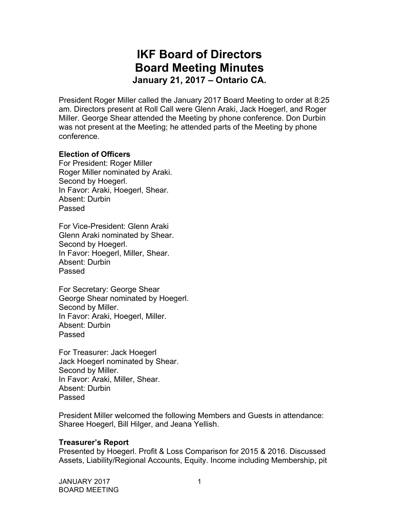# **IKF Board of Directors Board Meeting Minutes January 21, 2017 – Ontario CA.**

President Roger Miller called the January 2017 Board Meeting to order at 8:25 am. Directors present at Roll Call were Glenn Araki, Jack Hoegerl, and Roger Miller. George Shear attended the Meeting by phone conference. Don Durbin was not present at the Meeting; he attended parts of the Meeting by phone conference.

## **Election of Officers**

For President: Roger Miller Roger Miller nominated by Araki. Second by Hoegerl. In Favor: Araki, Hoegerl, Shear. Absent: Durbin Passed

For Vice-President: Glenn Araki Glenn Araki nominated by Shear. Second by Hoegerl. In Favor: Hoegerl, Miller, Shear. Absent: Durbin Passed

For Secretary: George Shear George Shear nominated by Hoegerl. Second by Miller. In Favor: Araki, Hoegerl, Miller. Absent: Durbin Passed

For Treasurer: Jack Hoegerl Jack Hoegerl nominated by Shear. Second by Miller. In Favor: Araki, Miller, Shear. Absent: Durbin Passed

President Miller welcomed the following Members and Guests in attendance: Sharee Hoegerl, Bill Hilger, and Jeana Yellish.

## **Treasurer's Report**

Presented by Hoegerl. Profit & Loss Comparison for 2015 & 2016. Discussed Assets, Liability/Regional Accounts, Equity. Income including Membership, pit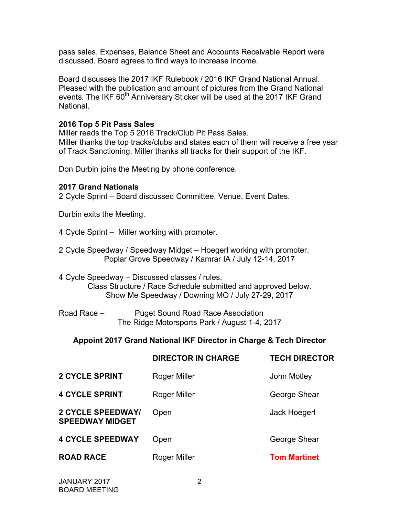pass sales. Expenses, Balance Sheet and Accounts Receivable Report were discussed. Board agrees to find ways to increase income.

Board discusses the 2017 IKF Rulebook / 2016 IKF Grand National Annual. Pleased with the publication and amount of pictures from the Grand National events. The IKF 60<sup>th</sup> Anniversary Sticker will be used at the 2017 IKF Grand **National** 

#### **2016 Top 5 Pit Pass Sales**

Miller reads the Top 5 2016 Track/Club Pit Pass Sales. Miller thanks the top tracks/clubs and states each of them will receive a free year of Track Sanctioning. Miller thanks all tracks for their support of the IKF.

Don Durbin joins the Meeting by phone conference.

#### **2017 Grand Nationals**

2 Cycle Sprint – Board discussed Committee, Venue, Event Dates.

Durbin exits the Meeting.

4 Cycle Sprint – Miller working with promoter.

- 2 Cycle Speedway / Speedway Midget Hoegerl working with promoter. Poplar Grove Speedway / Kamrar IA / July 12-14, 2017
- 4 Cycle Speedway Discussed classes / rules. Class Structure / Race Schedule submitted and approved below. Show Me Speedway / Downing MO / July 27-29, 2017
- Road Race Puget Sound Road Race Association The Ridge Motorsports Park / August 1-4, 2017

## **Appoint 2017 Grand National IKF Director in Charge & Tech Director**

|                                                    | <b>DIRECTOR IN CHARGE</b> | <b>TECH DIRECTOR</b> |
|----------------------------------------------------|---------------------------|----------------------|
| <b>2 CYCLE SPRINT</b>                              | Roger Miller              | John Motley          |
| <b>4 CYCLE SPRINT</b>                              | Roger Miller              | George Shear         |
| <b>2 CYCLE SPEEDWAY/</b><br><b>SPEEDWAY MIDGET</b> | Open                      | Jack Hoegerl         |
| <b>4 CYCLE SPEEDWAY</b>                            | Open                      | George Shear         |
| <b>ROAD RACE</b>                                   | Roger Miller              | <b>Tom Martinet</b>  |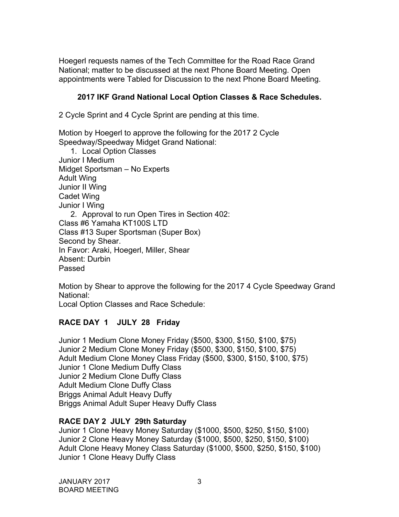Hoegerl requests names of the Tech Committee for the Road Race Grand National; matter to be discussed at the next Phone Board Meeting. Open appointments were Tabled for Discussion to the next Phone Board Meeting.

## **2017 IKF Grand National Local Option Classes & Race Schedules.**

2 Cycle Sprint and 4 Cycle Sprint are pending at this time.

Motion by Hoegerl to approve the following for the 2017 2 Cycle Speedway/Speedway Midget Grand National:

1. Local Option Classes Junior I Medium Midget Sportsman – No Experts Adult Wing Junior II Wing Cadet Wing Junior I Wing 2. Approval to run Open Tires in Section 402: Class #6 Yamaha KT100S LTD Class #13 Super Sportsman (Super Box) Second by Shear. In Favor: Araki, Hoegerl, Miller, Shear Absent: Durbin Passed

Motion by Shear to approve the following for the 2017 4 Cycle Speedway Grand National:

Local Option Classes and Race Schedule:

# **RACE DAY 1 JULY 28 Friday**

Junior 1 Medium Clone Money Friday (\$500, \$300, \$150, \$100, \$75) Junior 2 Medium Clone Money Friday (\$500, \$300, \$150, \$100, \$75) Adult Medium Clone Money Class Friday (\$500, \$300, \$150, \$100, \$75) Junior 1 Clone Medium Duffy Class Junior 2 Medium Clone Duffy Class Adult Medium Clone Duffy Class Briggs Animal Adult Heavy Duffy Briggs Animal Adult Super Heavy Duffy Class

# **RACE DAY 2 JULY 29th Saturday**

Junior 1 Clone Heavy Money Saturday (\$1000, \$500, \$250, \$150, \$100) Junior 2 Clone Heavy Money Saturday (\$1000, \$500, \$250, \$150, \$100) Adult Clone Heavy Money Class Saturday (\$1000, \$500, \$250, \$150, \$100) Junior 1 Clone Heavy Duffy Class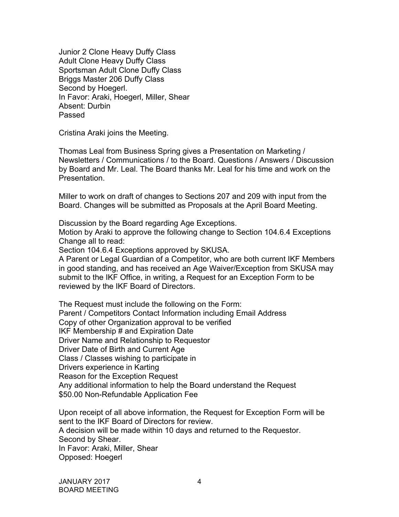Junior 2 Clone Heavy Duffy Class Adult Clone Heavy Duffy Class Sportsman Adult Clone Duffy Class Briggs Master 206 Duffy Class Second by Hoegerl. In Favor: Araki, Hoegerl, Miller, Shear Absent: Durbin Passed

Cristina Araki joins the Meeting.

Thomas Leal from Business Spring gives a Presentation on Marketing / Newsletters / Communications / to the Board. Questions / Answers / Discussion by Board and Mr. Leal. The Board thanks Mr. Leal for his time and work on the Presentation.

Miller to work on draft of changes to Sections 207 and 209 with input from the Board. Changes will be submitted as Proposals at the April Board Meeting.

Discussion by the Board regarding Age Exceptions.

Motion by Araki to approve the following change to Section 104.6.4 Exceptions Change all to read:

Section 104.6.4 Exceptions approved by SKUSA.

A Parent or Legal Guardian of a Competitor, who are both current IKF Members in good standing, and has received an Age Waiver/Exception from SKUSA may submit to the IKF Office, in writing, a Request for an Exception Form to be reviewed by the IKF Board of Directors.

The Request must include the following on the Form: Parent / Competitors Contact Information including Email Address Copy of other Organization approval to be verified IKF Membership # and Expiration Date Driver Name and Relationship to Requestor Driver Date of Birth and Current Age Class / Classes wishing to participate in Drivers experience in Karting Reason for the Exception Request Any additional information to help the Board understand the Request \$50.00 Non-Refundable Application Fee

Upon receipt of all above information, the Request for Exception Form will be sent to the IKF Board of Directors for review. A decision will be made within 10 days and returned to the Requestor. Second by Shear. In Favor: Araki, Miller, Shear Opposed: Hoegerl